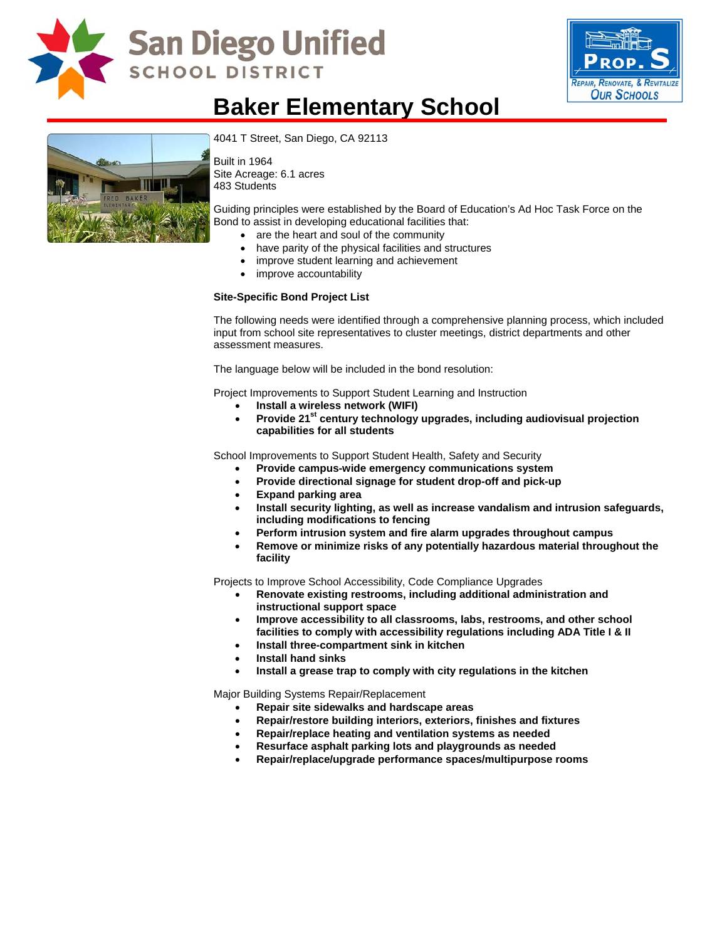

# **San Diego Unified SCHOOL DISTRICT**



### **Baker Elementary School**



[4041 T Street, San Diego, CA 92113](http://www.sandi.net/comm/schools/schlpix/baker.jpg)

Built in 1964 Site Acreage: 6.1 acres 483 Students

Guiding principles were established by the Board of Education's Ad Hoc Task Force on the Bond to assist in developing educational facilities that:

- are the heart and soul of the community
- have parity of the physical facilities and structures
- improve student learning and achievement
- improve accountability

#### **Site-Specific Bond Project List**

The following needs were identified through a comprehensive planning process, which included input from school site representatives to cluster meetings, district departments and other assessment measures.

The language below will be included in the bond resolution:

Project Improvements to Support Student Learning and Instruction

- **Install a wireless network (WIFI)**
- Provide 21<sup>st</sup> century technology upgrades, including audiovisual projection **capabilities for all students**

School Improvements to Support Student Health, Safety and Security

- **Provide campus-wide emergency communications system**
- **Provide directional signage for student drop-off and pick-up**
- **Expand parking area**
- **Install security lighting, as well as increase vandalism and intrusion safeguards, including modifications to fencing**
- **Perform intrusion system and fire alarm upgrades throughout campus**
- **Remove or minimize risks of any potentially hazardous material throughout the facility**

Projects to Improve School Accessibility, Code Compliance Upgrades

- **Renovate existing restrooms, including additional administration and instructional support space**
- **Improve accessibility to all classrooms, labs, restrooms, and other school facilities to comply with accessibility regulations including ADA Title I & II**
- **Install three-compartment sink in kitchen**
- **Install hand sinks**
- **Install a grease trap to comply with city regulations in the kitchen**

Major Building Systems Repair/Replacement

- **Repair site sidewalks and hardscape areas**
- **Repair/restore building interiors, exteriors, finishes and fixtures**
- **Repair/replace heating and ventilation systems as needed**
- **Resurface asphalt parking lots and playgrounds as needed**
- **Repair/replace/upgrade performance spaces/multipurpose rooms**